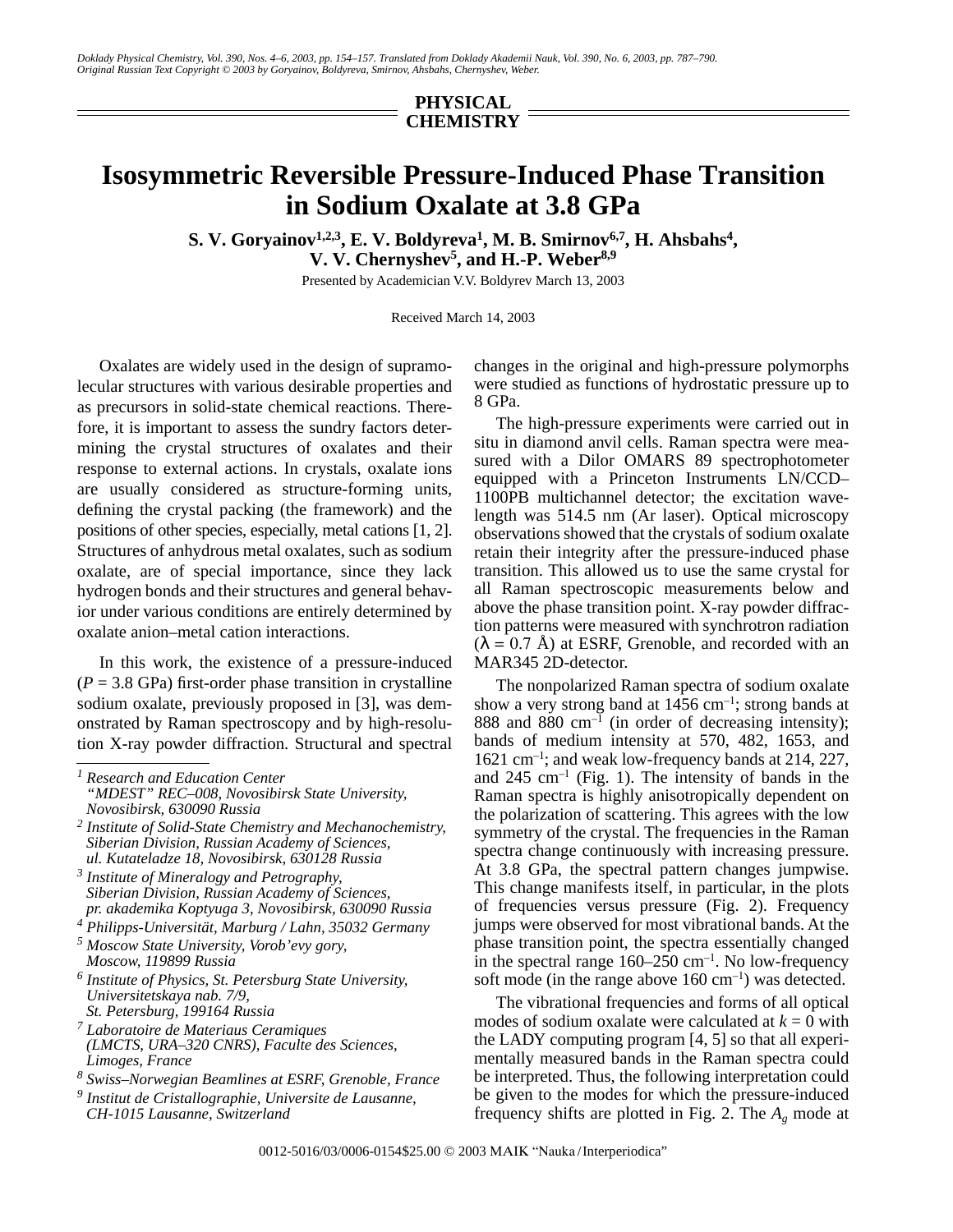## **PHYSICAL CHEMISTRY**

## **Isosymmetric Reversible Pressure-Induced Phase Transition in Sodium Oxalate at 3.8 GPa**

 $\mathbf{S. V. Goryainov}^{1,2,3}, \mathbf{E. V. Boldyreva}^{1}, \mathbf{M. B. Smirnov}^{6,7}, \mathbf{H. Ahsbahs}^{4},$ **V. V. Chernyshev5, and H.-P. Weber8,9**

Presented by Academician V.V. Boldyrev March 13, 2003

Received March 14, 2003

Oxalates are widely used in the design of supramolecular structures with various desirable properties and as precursors in solid-state chemical reactions. Therefore, it is important to assess the sundry factors determining the crystal structures of oxalates and their response to external actions. In crystals, oxalate ions are usually considered as structure-forming units, defining the crystal packing (the framework) and the positions of other species, especially, metal cations [1, 2]. Structures of anhydrous metal oxalates, such as sodium oxalate, are of special importance, since they lack hydrogen bonds and their structures and general behavior under various conditions are entirely determined by oxalate anion–metal cation interactions.

In this work, the existence of a pressure-induced  $(P = 3.8 \text{ GPa})$  first-order phase transition in crystalline sodium oxalate, previously proposed in [3], was demonstrated by Raman spectroscopy and by high-resolution X-ray powder diffraction. Structural and spectral

- *6 Institute of Physics, St. Petersburg State University, Universitetskaya nab. 7/9, St. Petersburg, 199164 Russia*
- *7 Laboratoire de Materiaus Ceramiques (LMCTS, URA–320 CNRS), Faculte des Sciences, Limoges, France*

changes in the original and high-pressure polymorphs were studied as functions of hydrostatic pressure up to 8 GPa.

The high-pressure experiments were carried out in situ in diamond anvil cells. Raman spectra were measured with a Dilor OMARS 89 spectrophotometer equipped with a Princeton Instruments LN/CCD– 1100PB multichannel detector; the excitation wavelength was 514.5 nm (Ar laser). Optical microscopy observations showed that the crystals of sodium oxalate retain their integrity after the pressure-induced phase transition. This allowed us to use the same crystal for all Raman spectroscopic measurements below and above the phase transition point. X-ray powder diffraction patterns were measured with synchrotron radiation  $(\lambda = 0.7 \text{ Å})$  at ESRF. Grenoble, and recorded with an MAR345 2D-detector.

The nonpolarized Raman spectra of sodium oxalate show a very strong band at  $1456 \text{ cm}^{-1}$ ; strong bands at 888 and 880  $cm^{-1}$  (in order of decreasing intensity); bands of medium intensity at 570, 482, 1653, and 1621 cm–1; and weak low-frequency bands at 214, 227, and  $245 \text{ cm}^{-1}$  (Fig. 1). The intensity of bands in the Raman spectra is highly anisotropically dependent on the polarization of scattering. This agrees with the low symmetry of the crystal. The frequencies in the Raman spectra change continuously with increasing pressure. At 3.8 GPa, the spectral pattern changes jumpwise. This change manifests itself, in particular, in the plots of frequencies versus pressure (Fig. 2). Frequency jumps were observed for most vibrational bands. At the phase transition point, the spectra essentially changed in the spectral range  $160-250$  cm<sup>-1</sup>. No low-frequency soft mode (in the range above  $160 \text{ cm}^{-1}$ ) was detected.

The vibrational frequencies and forms of all optical modes of sodium oxalate were calculated at  $k = 0$  with the LADY computing program [4, 5] so that all experimentally measured bands in the Raman spectra could be interpreted. Thus, the following interpretation could be given to the modes for which the pressure-induced frequency shifts are plotted in Fig. 2. The *Ag* mode at

*<sup>1</sup> Research and Education Center "MDEST" REC–008, Novosibirsk State University, Novosibirsk, 630090 Russia*

*<sup>2</sup> Institute of Solid-State Chemistry and Mechanochemistry, Siberian Division, Russian Academy of Sciences, ul. Kutateladze 18, Novosibirsk, 630128 Russia*

*<sup>3</sup> Institute of Mineralogy and Petrography, Siberian Division, Russian Academy of Sciences, pr. akademika Koptyuga 3, Novosibirsk, 630090 Russia*

*<sup>4</sup> Philipps-Universität, Marburg / Lahn, 35032 Germany*

*<sup>5</sup> Moscow State University, Vorob'evy gory, Moscow, 119899 Russia*

*<sup>8</sup> Swiss–Norwegian Beamlines at ESRF, Grenoble, France*

*<sup>9</sup> Institut de Cristallographie, Universite de Lausanne,*

*CH-1015 Lausanne, Switzerland*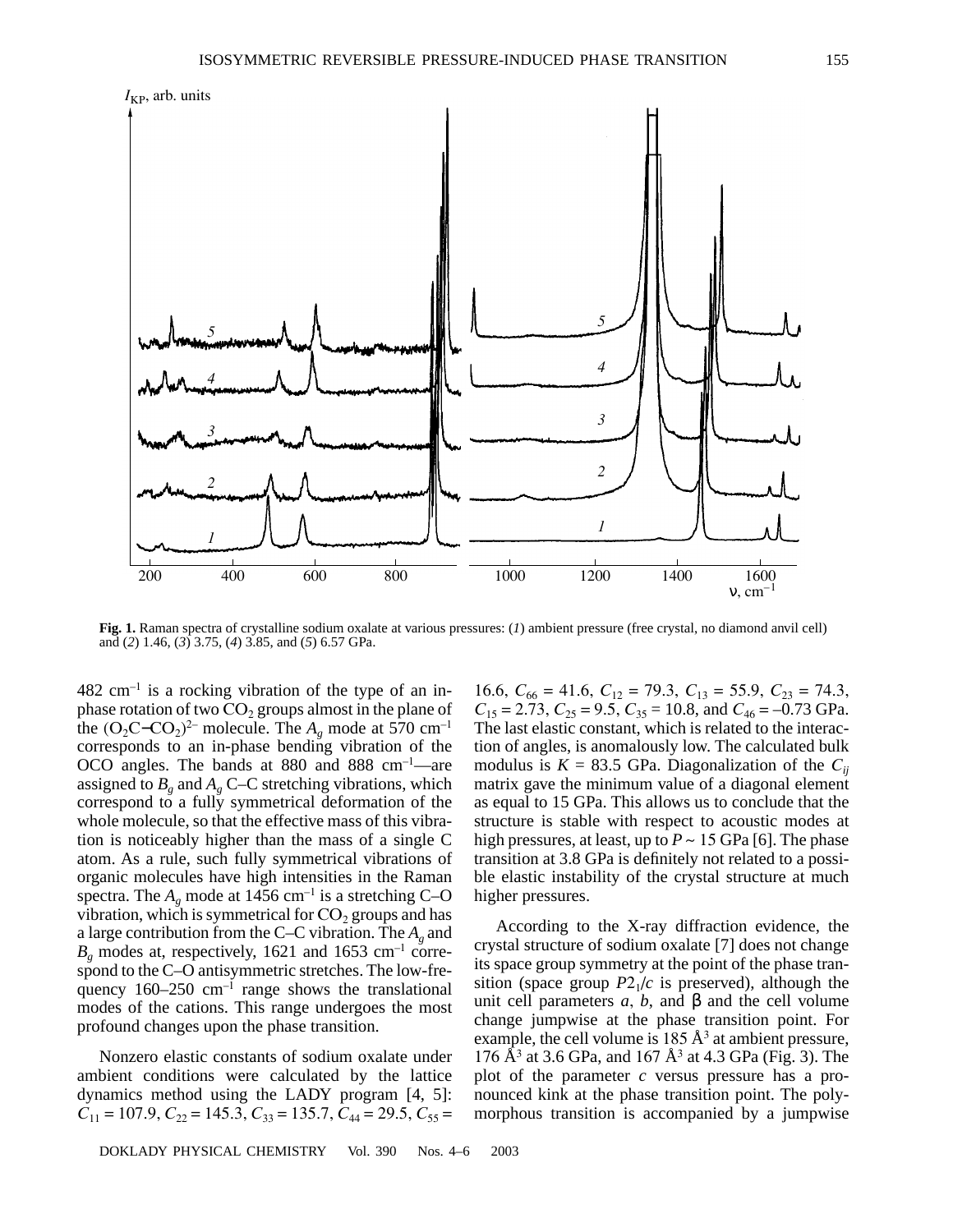

Fig. 1. Raman spectra of crystalline sodium oxalate at various pressures:  $(I)$  ambient pressure (free crystal, no diamond anyil cell) and  $(2)$  1.46,  $(3)$  3.75,  $(4)$  3.85, and  $(5)$  6.57 GPa.

 $482 \text{ cm}^{-1}$  is a rocking vibration of the type of an inphase rotation of two  $CO<sub>2</sub>$  groups almost in the plane of the  $(O_2C$ – $CO_2)^{2}$  molecule. The  $A_\nu$  mode at 570 cm<sup>-1</sup> corresponds to an in-phase bending vibration of the OCO angles. The bands at 880 and 888 cm<sup>-1</sup>-are assigned to  $B_g$  and  $A_g$  C–C stretching vibrations, which correspond to a fully symmetrical deformation of the whole molecule, so that the effective mass of this vibration is noticeably higher than the mass of a single C atom. As a rule, such fully symmetrical vibrations of organic molecules have high intensities in the Raman spectra. The  $A_e$  mode at 1456 cm<sup>-1</sup> is a stretching C-O vibration, which is symmetrical for  $CO<sub>2</sub>$  groups and has a large contribution from the C–C vibration. The  $A_{\varrho}$  and  $B<sub>g</sub>$  modes at, respectively, 1621 and 1653 cm<sup>-1</sup> correspond to the C-O antisymmetric stretches. The low-frequency  $160-250$  cm<sup>-1</sup> range shows the translational modes of the cations. This range undergoes the most profound changes upon the phase transition.

Nonzero elastic constants of sodium oxalate under ambient conditions were calculated by the lattice dynamics method using the LADY program [4, 5]:  $C_{11} = 107.9, C_{22} = 145.3, C_{33} = 135.7, C_{44} = 29.5, C_{55} =$ 

DOKLADY PHYSICAL CHEMISTRY Vol. 390 Nos.  $4-6$ 2003

16.6,  $C_{66} = 41.6$ ,  $C_{12} = 79.3$ ,  $C_{13} = 55.9$ ,  $C_{23} = 74.3$ ,<br> $C_{15} = 2.73$ ,  $C_{25} = 9.5$ ,  $C_{35} = 10.8$ , and  $C_{46} = -0.73$  GPa. The last elastic constant, which is related to the interaction of angles, is anomalously low. The calculated bulk modulus is  $K = 83.5$  GPa. Diagonalization of the  $C_{ii}$ matrix gave the minimum value of a diagonal element as equal to 15 GPa. This allows us to conclude that the structure is stable with respect to acoustic modes at high pressures, at least, up to  $P \sim 15$  GPa [6]. The phase transition at 3.8 GPa is definitely not related to a possible elastic instability of the crystal structure at much higher pressures.

According to the X-ray diffraction evidence, the crystal structure of sodium oxalate [7] does not change its space group symmetry at the point of the phase transition (space group  $P2_1/c$  is preserved), although the unit cell parameters a, b, and  $\beta$  and the cell volume change jumpwise at the phase transition point. For example, the cell volume is  $185 \text{ Å}^3$  at ambient pressure, 176  $A^3$  at 3.6 GPa, and 167  $A^3$  at 4.3 GPa (Fig. 3). The plot of the parameter  $c$  versus pressure has a pronounced kink at the phase transition point. The polymorphous transition is accompanied by a jumpwise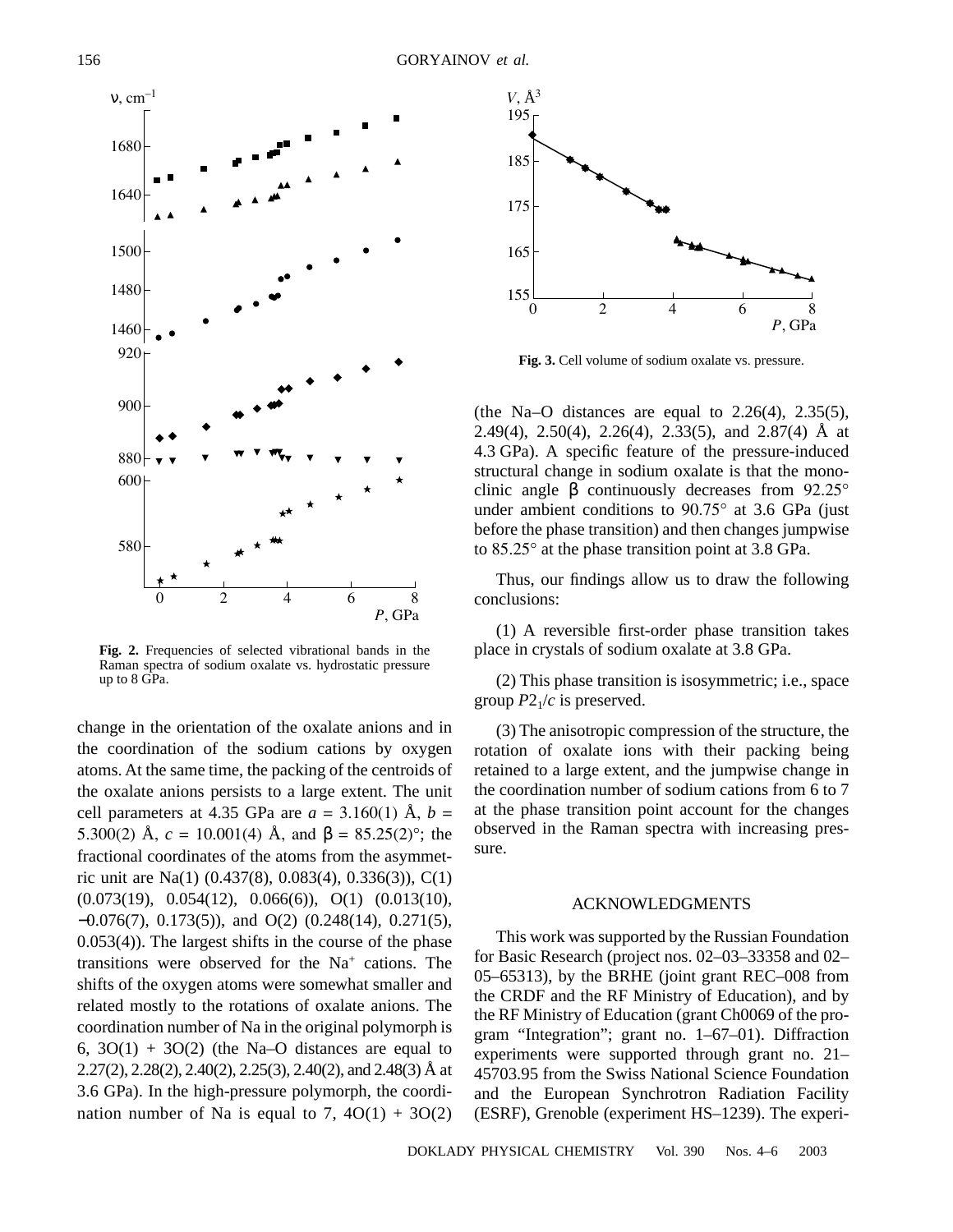

**Fig. 2.** Frequencies of selected vibrational bands in the Raman spectra of sodium oxalate vs. hydrostatic pressure up to 8 GPa.

change in the orientation of the oxalate anions and in the coordination of the sodium cations by oxygen atoms. At the same time, the packing of the centroids of the oxalate anions persists to a large extent. The unit cell parameters at 4.35 GPa are  $a = 3.160(1)$  Å,  $b =$ 5.300(2) Å,  $c = 10.001(4)$  Å, and  $\beta = 85.25(2)$ °; the fractional coordinates of the atoms from the asymmetric unit are Na(1) (0.437(8), 0.083(4), 0.336(3)), C(1) (0.073(19), 0.054(12), 0.066(6)), O(1) (0.013(10), −0.076(7), 0.173(5)), and O(2) (0.248(14), 0.271(5), 0.053(4)). The largest shifts in the course of the phase transitions were observed for the  $Na<sup>+</sup>$  cations. The shifts of the oxygen atoms were somewhat smaller and related mostly to the rotations of oxalate anions. The coordination number of Na in the original polymorph is 6,  $3O(1) + 3O(2)$  (the Na–O distances are equal to 2.27(2), 2.28(2), 2.40(2), 2.25(3), 2.40(2), and 2.48(3) Å at 3.6 GPa). In the high-pressure polymorph, the coordination number of Na is equal to 7,  $4O(1) + 3O(2)$ 



**Fig. 3.** Cell volume of sodium oxalate vs. pressure.

(the Na–O distances are equal to  $2.26(4)$ ,  $2.35(5)$ , 2.49(4), 2.50(4), 2.26(4), 2.33(5), and 2.87(4) Å at 4.3 GPa). A specific feature of the pressure-induced structural change in sodium oxalate is that the monoclinic angle β continuously decreases from 92.25° under ambient conditions to 90.75° at 3.6 GPa (just before the phase transition) and then changes jumpwise to 85.25° at the phase transition point at 3.8 GPa.

Thus, our findings allow us to draw the following conclusions:

(1) A reversible first-order phase transition takes place in crystals of sodium oxalate at 3.8 GPa.

(2) This phase transition is isosymmetric; i.e., space group  $P2<sub>1</sub>/c$  is preserved.

(3) The anisotropic compression of the structure, the rotation of oxalate ions with their packing being retained to a large extent, and the jumpwise change in the coordination number of sodium cations from 6 to 7 at the phase transition point account for the changes observed in the Raman spectra with increasing pressure.

## ACKNOWLEDGMENTS

This work was supported by the Russian Foundation for Basic Research (project nos. 02–03–33358 and 02– 05–65313), by the BRHE (joint grant REC–008 from the CRDF and the RF Ministry of Education), and by the RF Ministry of Education (grant Ch0069 of the program "Integration"; grant no. 1–67–01). Diffraction experiments were supported through grant no. 21– 45703.95 from the Swiss National Science Foundation and the European Synchrotron Radiation Facility (ESRF), Grenoble (experiment HS–1239). The experi